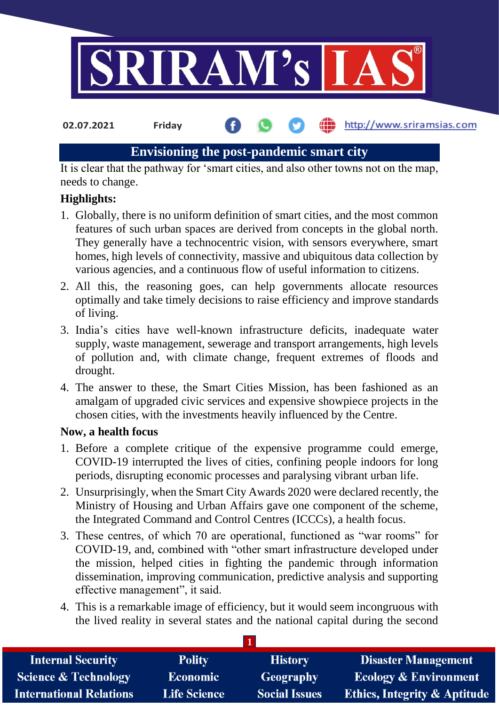

**02.07.2021 Friday**

http://www.sriramsias.com

# **Envisioning the post-pandemic smart city**

It is clear that the pathway for 'smart cities, and also other towns not on the map, needs to change.

# **Highlights:**

- 1. Globally, there is no uniform definition of smart cities, and the most common features of such urban spaces are derived from concepts in the global north. They generally have a technocentric vision, with sensors everywhere, smart homes, high levels of connectivity, massive and ubiquitous data collection by various agencies, and a continuous flow of useful information to citizens.
- 2. All this, the reasoning goes, can help governments allocate resources optimally and take timely decisions to raise efficiency and improve standards of living.
- 3. India's cities have well-known infrastructure deficits, inadequate water supply, waste management, sewerage and transport arrangements, high levels of pollution and, with climate change, frequent extremes of floods and drought.
- 4. The answer to these, the Smart Cities Mission, has been fashioned as an amalgam of upgraded civic services and expensive showpiece projects in the chosen cities, with the investments heavily influenced by the Centre.

## **Now, a health focus**

- 1. Before a complete critique of the expensive programme could emerge, COVID-19 interrupted the lives of cities, confining people indoors for long periods, disrupting economic processes and paralysing vibrant urban life.
- 2. Unsurprisingly, when the Smart City Awards 2020 were declared recently, the Ministry of Housing and Urban Affairs gave one component of the scheme, the Integrated Command and Control Centres (ICCCs), a health focus.
- 3. These centres, of which 70 are operational, functioned as "war rooms" for COVID-19, and, combined with "other smart infrastructure developed under the mission, helped cities in fighting the pandemic through information dissemination, improving communication, predictive analysis and supporting effective management", it said.
- 4. This is a remarkable image of efficiency, but it would seem incongruous with the lived reality in several states and the national capital during the second

**1**

| <b>Internal Security</b>        | <b>Polity</b>       | <b>History</b>       | <b>Disaster Management</b>              |
|---------------------------------|---------------------|----------------------|-----------------------------------------|
| <b>Science &amp; Technology</b> | <b>Economic</b>     | Geography            | <b>Ecology &amp; Environment</b>        |
| <b>International Relations</b>  | <b>Life Science</b> | <b>Social Issues</b> | <b>Ethics, Integrity &amp; Aptitude</b> |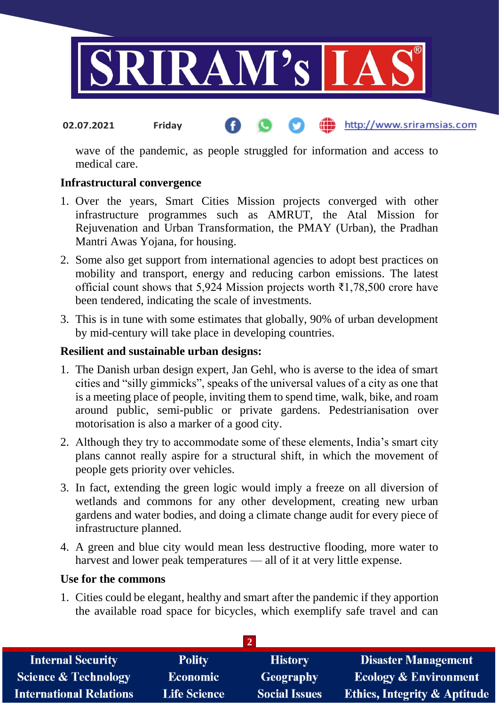

#### http://www.sriramsias.com **02.07.2021 Friday**

wave of the pandemic, as people struggled for information and access to medical care.

## **Infrastructural convergence**

- 1. Over the years, Smart Cities Mission projects converged with other infrastructure programmes such as AMRUT, the Atal Mission for Rejuvenation and Urban Transformation, the PMAY (Urban), the Pradhan Mantri Awas Yojana, for housing.
- 2. Some also get support from international agencies to adopt best practices on mobility and transport, energy and reducing carbon emissions. The latest official count shows that 5,924 Mission projects worth ₹1,78,500 crore have been tendered, indicating the scale of investments.
- 3. This is in tune with some estimates that globally, 90% of urban development by mid-century will take place in developing countries.

## **Resilient and sustainable urban designs:**

- 1. The Danish urban design expert, Jan Gehl, who is averse to the idea of smart cities and "silly gimmicks", speaks of the universal values of a city as one that is a meeting place of people, inviting them to spend time, walk, bike, and roam around public, semi-public or private gardens. Pedestrianisation over motorisation is also a marker of a good city.
- 2. Although they try to accommodate some of these elements, India's smart city plans cannot really aspire for a structural shift, in which the movement of people gets priority over vehicles.
- 3. In fact, extending the green logic would imply a freeze on all diversion of wetlands and commons for any other development, creating new urban gardens and water bodies, and doing a climate change audit for every piece of infrastructure planned.
- 4. A green and blue city would mean less destructive flooding, more water to harvest and lower peak temperatures — all of it at very little expense.

## **Use for the commons**

1. Cities could be elegant, healthy and smart after the pandemic if they apportion the available road space for bicycles, which exemplify safe travel and can

| <b>Internal Security</b>        | <b>Polity</b>       | <b>History</b>       | <b>Disaster Management</b>              |
|---------------------------------|---------------------|----------------------|-----------------------------------------|
| <b>Science &amp; Technology</b> | <b>Economic</b>     | Geography            | <b>Ecology &amp; Environment</b>        |
| <b>International Relations</b>  | <b>Life Science</b> | <b>Social Issues</b> | <b>Ethics, Integrity &amp; Aptitude</b> |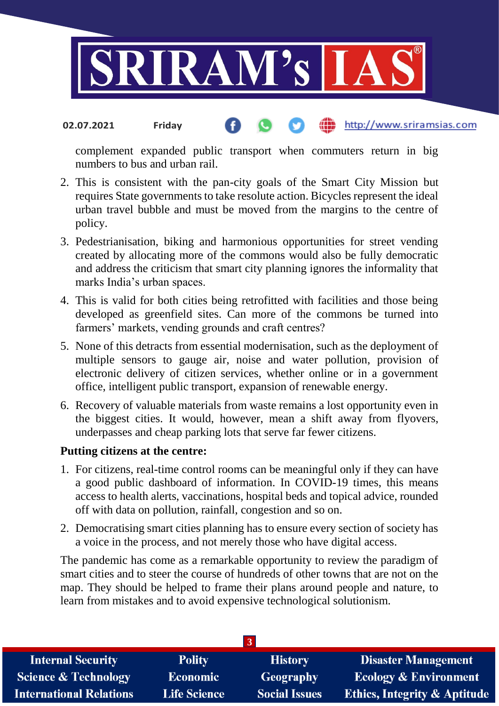

#### http://www.sriramsias.com **02.07.2021 Friday**

complement expanded public transport when commuters return in big numbers to bus and urban rail.

- 2. This is consistent with the pan-city goals of the Smart City Mission but requires State governments to take resolute action. Bicycles represent the ideal urban travel bubble and must be moved from the margins to the centre of policy.
- 3. Pedestrianisation, biking and harmonious opportunities for street vending created by allocating more of the commons would also be fully democratic and address the criticism that smart city planning ignores the informality that marks India's urban spaces.
- 4. This is valid for both cities being retrofitted with facilities and those being developed as greenfield sites. Can more of the commons be turned into farmers' markets, vending grounds and craft centres?
- 5. None of this detracts from essential modernisation, such as the deployment of multiple sensors to gauge air, noise and water pollution, provision of electronic delivery of citizen services, whether online or in a government office, intelligent public transport, expansion of renewable energy.
- 6. Recovery of valuable materials from waste remains a lost opportunity even in the biggest cities. It would, however, mean a shift away from flyovers, underpasses and cheap parking lots that serve far fewer citizens.

## **Putting citizens at the centre:**

- 1. For citizens, real-time control rooms can be meaningful only if they can have a good public dashboard of information. In COVID-19 times, this means access to health alerts, vaccinations, hospital beds and topical advice, rounded off with data on pollution, rainfall, congestion and so on.
- 2. Democratising smart cities planning has to ensure every section of society has a voice in the process, and not merely those who have digital access.

The pandemic has come as a remarkable opportunity to review the paradigm of smart cities and to steer the course of hundreds of other towns that are not on the map. They should be helped to frame their plans around people and nature, to learn from mistakes and to avoid expensive technological solutionism.

| <b>Polity</b>       | <b>History</b>       | <b>Disaster Management</b>              |
|---------------------|----------------------|-----------------------------------------|
| <b>Economic</b>     | Geography            | <b>Ecology &amp; Environment</b>        |
| <b>Life Science</b> | <b>Social Issues</b> | <b>Ethics, Integrity &amp; Aptitude</b> |
|                     |                      |                                         |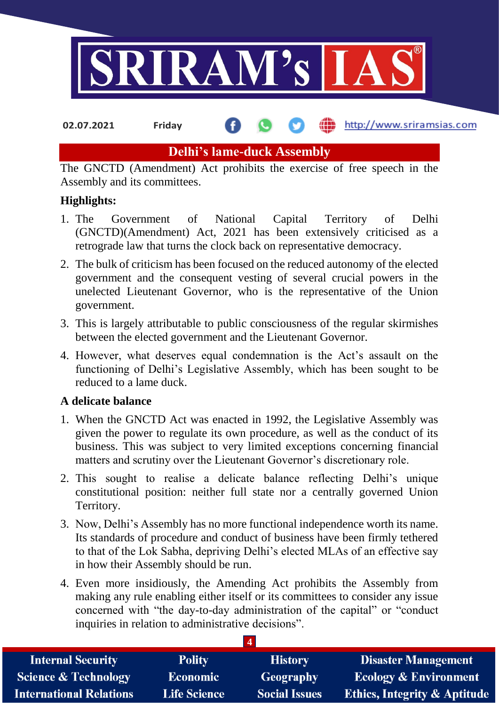

**02.07.2021 Friday**

**fin** http://www.sriramsias.com

# **Delhi's lame-duck Assembly**

The GNCTD (Amendment) Act prohibits the exercise of free speech in the Assembly and its committees.

# **Highlights:**

- 1. The Government of National Capital Territory of Delhi (GNCTD)(Amendment) Act, 2021 has been extensively criticised as a retrograde law that turns the clock back on representative democracy.
- 2. The bulk of criticism has been focused on the reduced autonomy of the elected government and the consequent vesting of several crucial powers in the unelected Lieutenant Governor, who is the representative of the Union government.
- 3. This is largely attributable to public consciousness of the regular skirmishes between the elected government and the Lieutenant Governor.
- 4. However, what deserves equal condemnation is the Act's assault on the functioning of Delhi's Legislative Assembly, which has been sought to be reduced to a lame duck.

# **A delicate balance**

- 1. When the GNCTD Act was enacted in 1992, the Legislative Assembly was given the power to regulate its own procedure, as well as the conduct of its business. This was subject to very limited exceptions concerning financial matters and scrutiny over the Lieutenant Governor's discretionary role.
- 2. This sought to realise a delicate balance reflecting Delhi's unique constitutional position: neither full state nor a centrally governed Union Territory.
- 3. Now, Delhi's Assembly has no more functional independence worth its name. Its standards of procedure and conduct of business have been firmly tethered to that of the Lok Sabha, depriving Delhi's elected MLAs of an effective say in how their Assembly should be run.
- 4. Even more insidiously, the Amending Act prohibits the Assembly from making any rule enabling either itself or its committees to consider any issue concerned with "the day-to-day administration of the capital" or "conduct inquiries in relation to administrative decisions".

**4**

| <b>Internal Security</b>        | <b>Polity</b>       | <b>History</b>       | <b>Disaster Management</b>              |
|---------------------------------|---------------------|----------------------|-----------------------------------------|
| <b>Science &amp; Technology</b> | <b>Economic</b>     | Geography            | <b>Ecology &amp; Environment</b>        |
| <b>International Relations</b>  | <b>Life Science</b> | <b>Social Issues</b> | <b>Ethics, Integrity &amp; Aptitude</b> |